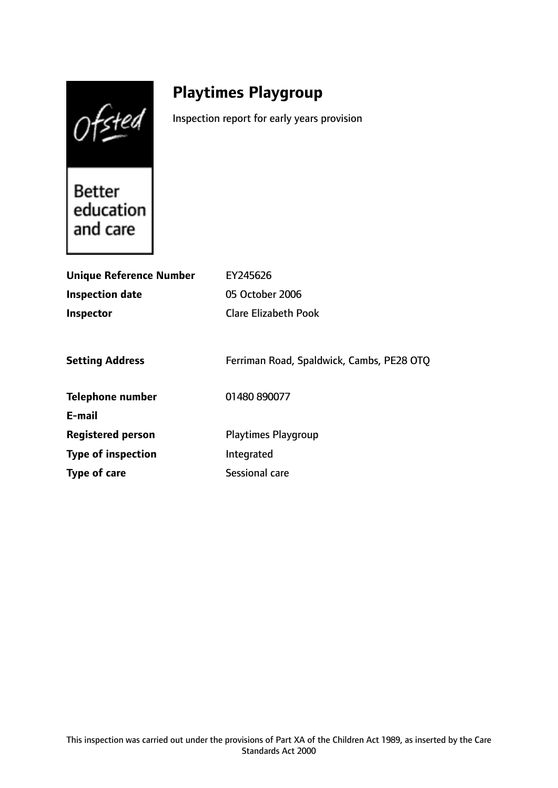Ofsted

# **Playtimes Playgroup**

Inspection report for early years provision

**Better** education and care

| <b>Unique Reference Number</b> | EY245626                                  |
|--------------------------------|-------------------------------------------|
| <b>Inspection date</b>         | 05 October 2006                           |
| <b>Inspector</b>               | <b>Clare Elizabeth Pook</b>               |
|                                |                                           |
| <b>Setting Address</b>         | Ferriman Road, Spaldwick, Cambs, PE28 OTQ |
| Telephone number               | 01480 890077                              |
| E-mail                         |                                           |
| <b>Registered person</b>       | <b>Playtimes Playgroup</b>                |
| <b>Type of inspection</b>      | Integrated                                |
| Type of care                   | Sessional care                            |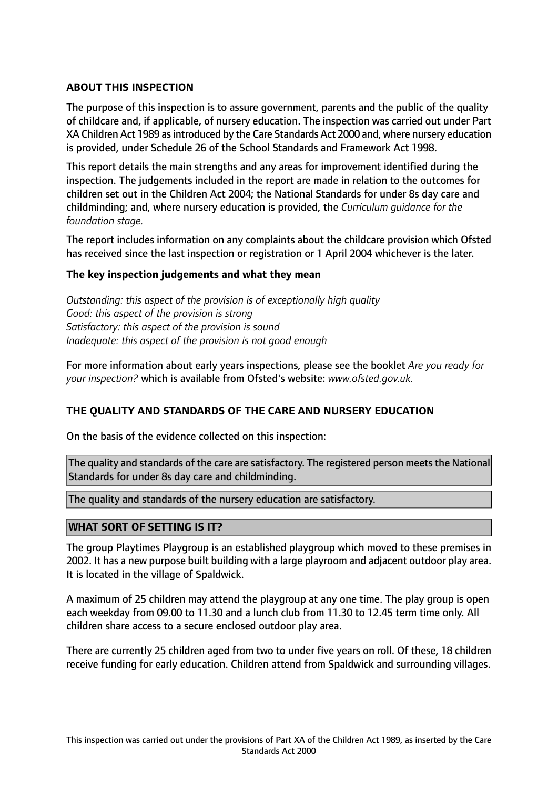### **ABOUT THIS INSPECTION**

The purpose of this inspection is to assure government, parents and the public of the quality of childcare and, if applicable, of nursery education. The inspection was carried out under Part XA Children Act 1989 asintroduced by the Care Standards Act 2000 and, where nursery education is provided, under Schedule 26 of the School Standards and Framework Act 1998.

This report details the main strengths and any areas for improvement identified during the inspection. The judgements included in the report are made in relation to the outcomes for children set out in the Children Act 2004; the National Standards for under 8s day care and childminding; and, where nursery education is provided, the *Curriculum guidance for the foundation stage.*

The report includes information on any complaints about the childcare provision which Ofsted has received since the last inspection or registration or 1 April 2004 whichever is the later.

#### **The key inspection judgements and what they mean**

*Outstanding: this aspect of the provision is of exceptionally high quality Good: this aspect of the provision is strong Satisfactory: this aspect of the provision is sound Inadequate: this aspect of the provision is not good enough*

For more information about early years inspections, please see the booklet *Are you ready for your inspection?* which is available from Ofsted's website: *www.ofsted.gov.uk.*

#### **THE QUALITY AND STANDARDS OF THE CARE AND NURSERY EDUCATION**

On the basis of the evidence collected on this inspection:

The quality and standards of the care are satisfactory. The registered person meets the National Standards for under 8s day care and childminding.

The quality and standards of the nursery education are satisfactory.

#### **WHAT SORT OF SETTING IS IT?**

The group Playtimes Playgroup is an established playgroup which moved to these premises in 2002. It has a new purpose built building with a large playroom and adjacent outdoor play area. It is located in the village of Spaldwick.

A maximum of 25 children may attend the playgroup at any one time. The play group is open each weekday from 09.00 to 11.30 and a lunch club from 11.30 to 12.45 term time only. All children share access to a secure enclosed outdoor play area.

There are currently 25 children aged from two to under five years on roll. Of these, 18 children receive funding for early education. Children attend from Spaldwick and surrounding villages.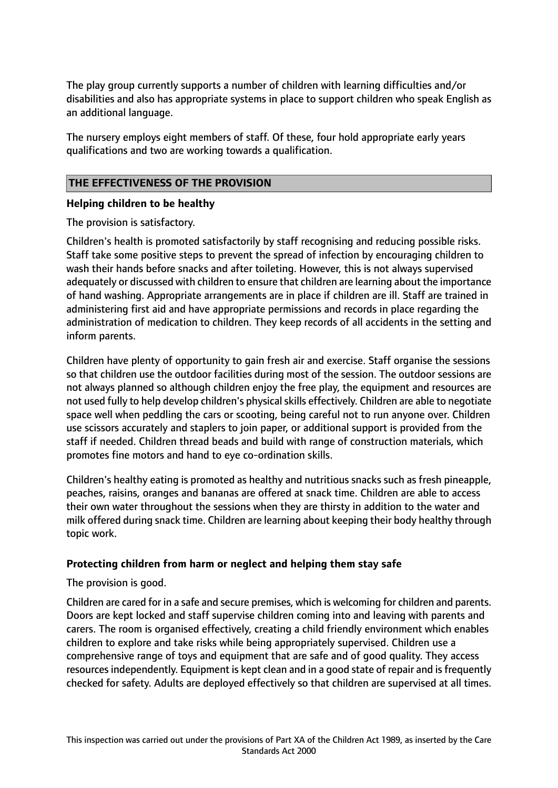The play group currently supports a number of children with learning difficulties and/or disabilities and also has appropriate systems in place to support children who speak English as an additional language.

The nursery employs eight members of staff. Of these, four hold appropriate early years qualifications and two are working towards a qualification.

## **THE EFFECTIVENESS OF THE PROVISION**

#### **Helping children to be healthy**

The provision is satisfactory.

Children's health is promoted satisfactorily by staff recognising and reducing possible risks. Staff take some positive steps to prevent the spread of infection by encouraging children to wash their hands before snacks and after toileting. However, this is not always supervised adequately or discussed with children to ensure that children are learning about the importance of hand washing. Appropriate arrangements are in place if children are ill. Staff are trained in administering first aid and have appropriate permissions and records in place regarding the administration of medication to children. They keep records of all accidents in the setting and inform parents.

Children have plenty of opportunity to gain fresh air and exercise. Staff organise the sessions so that children use the outdoor facilities during most of the session. The outdoor sessions are not always planned so although children enjoy the free play, the equipment and resources are not used fully to help develop children's physical skills effectively. Children are able to negotiate space well when peddling the cars or scooting, being careful not to run anyone over. Children use scissors accurately and staplers to join paper, or additional support is provided from the staff if needed. Children thread beads and build with range of construction materials, which promotes fine motors and hand to eye co-ordination skills.

Children's healthy eating is promoted as healthy and nutritious snacks such as fresh pineapple, peaches, raisins, oranges and bananas are offered at snack time. Children are able to access their own water throughout the sessions when they are thirsty in addition to the water and milk offered during snack time. Children are learning about keeping their body healthy through topic work.

#### **Protecting children from harm or neglect and helping them stay safe**

The provision is good.

Children are cared for in a safe and secure premises, which is welcoming for children and parents. Doors are kept locked and staff supervise children coming into and leaving with parents and carers. The room is organised effectively, creating a child friendly environment which enables children to explore and take risks while being appropriately supervised. Children use a comprehensive range of toys and equipment that are safe and of good quality. They access resources independently. Equipment is kept clean and in a good state of repair and is frequently checked for safety. Adults are deployed effectively so that children are supervised at all times.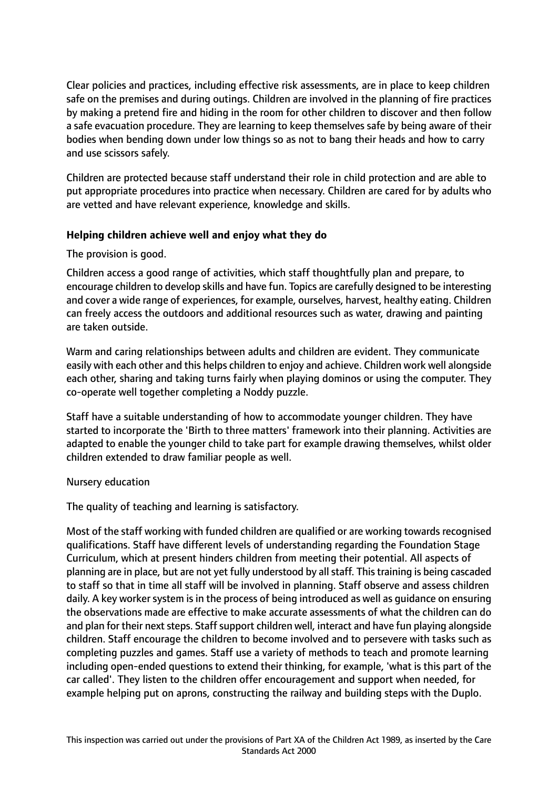Clear policies and practices, including effective risk assessments, are in place to keep children safe on the premises and during outings. Children are involved in the planning of fire practices by making a pretend fire and hiding in the room for other children to discover and then follow a safe evacuation procedure. They are learning to keep themselves safe by being aware of their bodies when bending down under low things so as not to bang their heads and how to carry and use scissors safely.

Children are protected because staff understand their role in child protection and are able to put appropriate procedures into practice when necessary. Children are cared for by adults who are vetted and have relevant experience, knowledge and skills.

#### **Helping children achieve well and enjoy what they do**

The provision is good.

Children access a good range of activities, which staff thoughtfully plan and prepare, to encourage children to develop skills and have fun. Topics are carefully designed to be interesting and cover a wide range of experiences, for example, ourselves, harvest, healthy eating. Children can freely access the outdoors and additional resources such as water, drawing and painting are taken outside.

Warm and caring relationships between adults and children are evident. They communicate easily with each other and this helps children to enjoy and achieve. Children work well alongside each other, sharing and taking turns fairly when playing dominos or using the computer. They co-operate well together completing a Noddy puzzle.

Staff have a suitable understanding of how to accommodate younger children. They have started to incorporate the 'Birth to three matters' framework into their planning. Activities are adapted to enable the younger child to take part for example drawing themselves, whilst older children extended to draw familiar people as well.

#### Nursery education

The quality of teaching and learning is satisfactory.

Most of the staff working with funded children are qualified or are working towards recognised qualifications. Staff have different levels of understanding regarding the Foundation Stage Curriculum, which at present hinders children from meeting their potential. All aspects of planning are in place, but are not yet fully understood by allstaff. Thistraining is being cascaded to staff so that in time all staff will be involved in planning. Staff observe and assess children daily. A key worker system is in the process of being introduced as well as guidance on ensuring the observations made are effective to make accurate assessments of what the children can do and plan for their next steps. Staff support children well, interact and have fun playing alongside children. Staff encourage the children to become involved and to persevere with tasks such as completing puzzles and games. Staff use a variety of methods to teach and promote learning including open-ended questions to extend their thinking, for example, 'what is this part of the car called'. They listen to the children offer encouragement and support when needed, for example helping put on aprons, constructing the railway and building steps with the Duplo.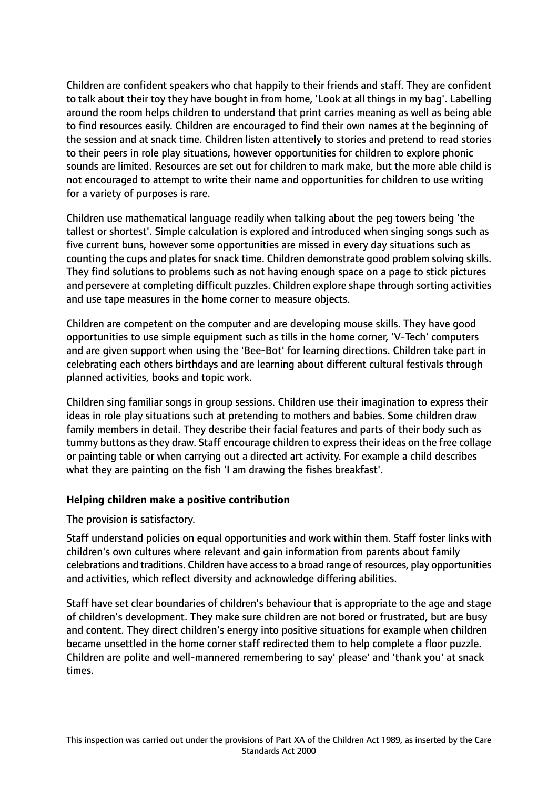Children are confident speakers who chat happily to their friends and staff. They are confident to talk about their toy they have bought in from home, 'Look at all things in my bag'. Labelling around the room helps children to understand that print carries meaning as well as being able to find resources easily. Children are encouraged to find their own names at the beginning of the session and at snack time. Children listen attentively to stories and pretend to read stories to their peers in role play situations, however opportunities for children to explore phonic sounds are limited. Resources are set out for children to mark make, but the more able child is not encouraged to attempt to write their name and opportunities for children to use writing for a variety of purposes is rare.

Children use mathematical language readily when talking about the peg towers being 'the tallest or shortest'. Simple calculation is explored and introduced when singing songs such as five current buns, however some opportunities are missed in every day situations such as counting the cups and plates for snack time. Children demonstrate good problem solving skills. They find solutions to problems such as not having enough space on a page to stick pictures and persevere at completing difficult puzzles. Children explore shape through sorting activities and use tape measures in the home corner to measure objects.

Children are competent on the computer and are developing mouse skills. They have good opportunities to use simple equipment such as tills in the home corner, 'V-Tech' computers and are given support when using the 'Bee-Bot' for learning directions. Children take part in celebrating each others birthdays and are learning about different cultural festivals through planned activities, books and topic work.

Children sing familiar songs in group sessions. Children use their imagination to express their ideas in role play situations such at pretending to mothers and babies. Some children draw family members in detail. They describe their facial features and parts of their body such as tummy buttons as they draw. Staff encourage children to express their ideas on the free collage or painting table or when carrying out a directed art activity. For example a child describes what they are painting on the fish 'I am drawing the fishes breakfast'.

#### **Helping children make a positive contribution**

The provision is satisfactory.

Staff understand policies on equal opportunities and work within them. Staff foster links with children's own cultures where relevant and gain information from parents about family celebrations and traditions. Children have accessto a broad range of resources, play opportunities and activities, which reflect diversity and acknowledge differing abilities.

Staff have set clear boundaries of children's behaviour that is appropriate to the age and stage of children's development. They make sure children are not bored or frustrated, but are busy and content. They direct children's energy into positive situations for example when children became unsettled in the home corner staff redirected them to help complete a floor puzzle. Children are polite and well-mannered remembering to say' please' and 'thank you' at snack times.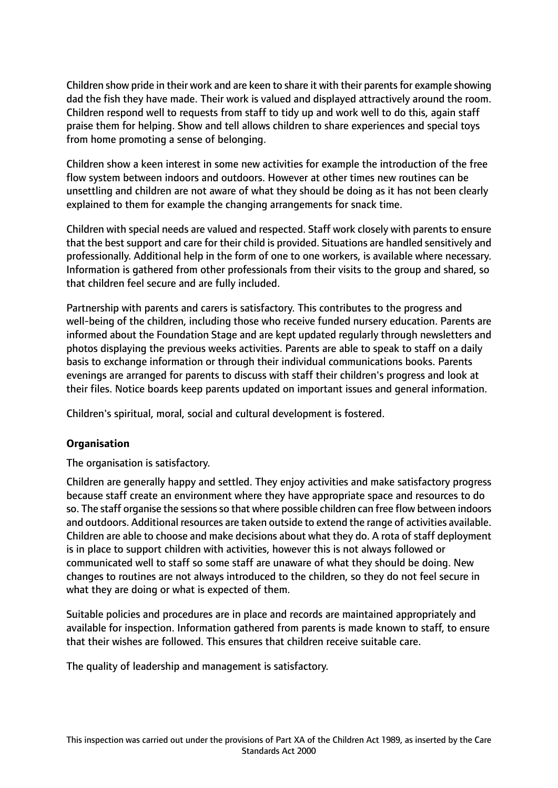Children show pride in their work and are keen to share it with their parents for example showing dad the fish they have made. Their work is valued and displayed attractively around the room. Children respond well to requests from staff to tidy up and work well to do this, again staff praise them for helping. Show and tell allows children to share experiences and special toys from home promoting a sense of belonging.

Children show a keen interest in some new activities for example the introduction of the free flow system between indoors and outdoors. However at other times new routines can be unsettling and children are not aware of what they should be doing as it has not been clearly explained to them for example the changing arrangements for snack time.

Children with special needs are valued and respected. Staff work closely with parents to ensure that the best support and care for their child is provided. Situations are handled sensitively and professionally. Additional help in the form of one to one workers, is available where necessary. Information is gathered from other professionals from their visits to the group and shared, so that children feel secure and are fully included.

Partnership with parents and carers is satisfactory. This contributes to the progress and well-being of the children, including those who receive funded nursery education. Parents are informed about the Foundation Stage and are kept updated regularly through newsletters and photos displaying the previous weeks activities. Parents are able to speak to staff on a daily basis to exchange information or through their individual communications books. Parents evenings are arranged for parents to discuss with staff their children's progress and look at their files. Notice boards keep parents updated on important issues and general information.

Children's spiritual, moral, social and cultural development is fostered.

#### **Organisation**

The organisation is satisfactory.

Children are generally happy and settled. They enjoy activities and make satisfactory progress because staff create an environment where they have appropriate space and resources to do so. The staff organise the sessions so that where possible children can free flow between indoors and outdoors. Additional resources are taken outside to extend the range of activities available. Children are able to choose and make decisions about what they do. A rota of staff deployment is in place to support children with activities, however this is not always followed or communicated well to staff so some staff are unaware of what they should be doing. New changes to routines are not always introduced to the children, so they do not feel secure in what they are doing or what is expected of them.

Suitable policies and procedures are in place and records are maintained appropriately and available for inspection. Information gathered from parents is made known to staff, to ensure that their wishes are followed. This ensures that children receive suitable care.

The quality of leadership and management is satisfactory.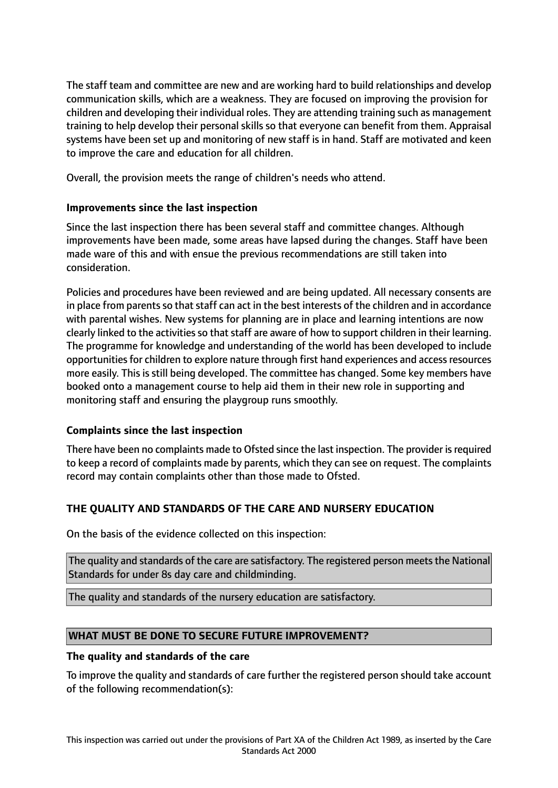The staff team and committee are new and are working hard to build relationships and develop communication skills, which are a weakness. They are focused on improving the provision for children and developing their individual roles. They are attending training such as management training to help develop their personal skills so that everyone can benefit from them. Appraisal systems have been set up and monitoring of new staff is in hand. Staff are motivated and keen to improve the care and education for all children.

Overall, the provision meets the range of children's needs who attend.

# **Improvements since the last inspection**

Since the last inspection there has been several staff and committee changes. Although improvements have been made, some areas have lapsed during the changes. Staff have been made ware of this and with ensue the previous recommendations are still taken into consideration.

Policies and procedures have been reviewed and are being updated. All necessary consents are in place from parents so that staff can act in the best interests of the children and in accordance with parental wishes. New systems for planning are in place and learning intentions are now clearly linked to the activities so that staff are aware of how to support children in their learning. The programme for knowledge and understanding of the world has been developed to include opportunities for children to explore nature through first hand experiences and access resources more easily. This is still being developed. The committee has changed. Some key members have booked onto a management course to help aid them in their new role in supporting and monitoring staff and ensuring the playgroup runs smoothly.

# **Complaints since the last inspection**

There have been no complaints made to Ofsted since the last inspection. The provider is required to keep a record of complaints made by parents, which they can see on request. The complaints record may contain complaints other than those made to Ofsted.

# **THE QUALITY AND STANDARDS OF THE CARE AND NURSERY EDUCATION**

On the basis of the evidence collected on this inspection:

The quality and standards of the care are satisfactory. The registered person meets the National Standards for under 8s day care and childminding.

The quality and standards of the nursery education are satisfactory.

#### **WHAT MUST BE DONE TO SECURE FUTURE IMPROVEMENT?**

#### **The quality and standards of the care**

To improve the quality and standards of care further the registered person should take account of the following recommendation(s):